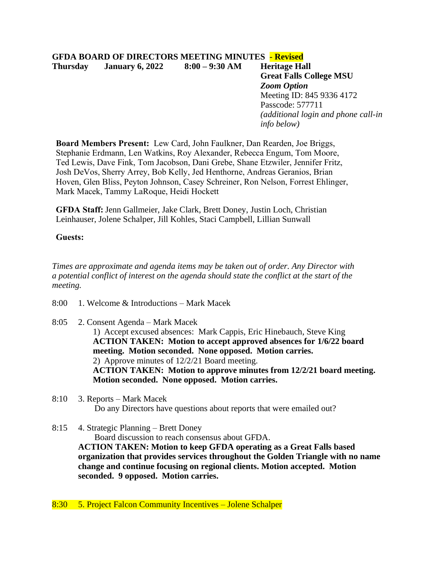## **GFDA BOARD OF DIRECTORS MEETING MINUTES - Revised**

**Thursday January 6, 2022 8:00 – 9:30 AM Heritage Hall**

**Great Falls College MSU** *Zoom Option* Meeting ID: 845 9336 4172 Passcode: 577711 *(additional login and phone call-in info below)*

**Board Members Present:** Lew Card, John Faulkner, Dan Rearden, Joe Briggs, Stephanie Erdmann, Len Watkins, Roy Alexander, Rebecca Engum, Tom Moore, Ted Lewis, Dave Fink, Tom Jacobson, Dani Grebe, Shane Etzwiler, Jennifer Fritz, Josh DeVos, Sherry Arrey, Bob Kelly, Jed Henthorne, Andreas Geranios, Brian Hoven, Glen Bliss, Peyton Johnson, Casey Schreiner, Ron Nelson, Forrest Ehlinger, Mark Macek, Tammy LaRoque, Heidi Hockett

**GFDA Staff:** Jenn Gallmeier, Jake Clark, Brett Doney, Justin Loch, Christian Leinhauser, Jolene Schalper, Jill Kohles, Staci Campbell, Lillian Sunwall

## **Guests:**

*Times are approximate and agenda items may be taken out of order. Any Director with a potential conflict of interest on the agenda should state the conflict at the start of the meeting.*

- 8:00 1. Welcome & Introductions Mark Macek
- 8:05 2. Consent Agenda Mark Macek

1) Accept excused absences: Mark Cappis, Eric Hinebauch, Steve King **ACTION TAKEN: Motion to accept approved absences for 1/6/22 board meeting. Motion seconded. None opposed. Motion carries.** 2) Approve minutes of 12/2/21 Board meeting. **ACTION TAKEN: Motion to approve minutes from 12/2/21 board meeting. Motion seconded. None opposed. Motion carries.**

- 8:10 3. Reports Mark Macek Do any Directors have questions about reports that were emailed out?
- 8:15 4. Strategic Planning Brett Doney

Board discussion to reach consensus about GFDA.

**ACTION TAKEN: Motion to keep GFDA operating as a Great Falls based organization that provides services throughout the Golden Triangle with no name change and continue focusing on regional clients. Motion accepted. Motion seconded. 9 opposed. Motion carries.**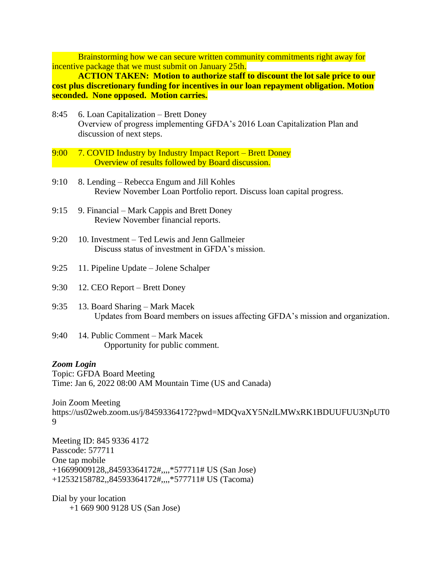Brainstorming how we can secure written community commitments right away for incentive package that we must submit on January 25th.

**ACTION TAKEN: Motion to authorize staff to discount the lot sale price to our cost plus discretionary funding for incentives in our loan repayment obligation. Motion seconded. None opposed. Motion carries.**

- 8:45 6. Loan Capitalization Brett Doney Overview of progress implementing GFDA's 2016 Loan Capitalization Plan and discussion of next steps.
- 9:00 7. COVID Industry by Industry Impact Report Brett Doney Overview of results followed by Board discussion.
- 9:10 8. Lending Rebecca Engum and Jill Kohles Review November Loan Portfolio report. Discuss loan capital progress.
- 9:15 9. Financial Mark Cappis and Brett Doney Review November financial reports.
- 9:20 10. Investment Ted Lewis and Jenn Gallmeier Discuss status of investment in GFDA's mission.
- 9:25 11. Pipeline Update Jolene Schalper
- 9:30 12. CEO Report Brett Doney
- 9:35 13. Board Sharing Mark Macek Updates from Board members on issues affecting GFDA's mission and organization.
- 9:40 14. Public Comment Mark Macek Opportunity for public comment.

## *Zoom Login*

Topic: GFDA Board Meeting Time: Jan 6, 2022 08:00 AM Mountain Time (US and Canada)

Join Zoom Meeting https://us02web.zoom.us/j/84593364172?pwd=MDQvaXY5NzlLMWxRK1BDUUFUU3NpUT0 9

Meeting ID: 845 9336 4172 Passcode: 577711 One tap mobile +16699009128,,84593364172#,,,,\*577711# US (San Jose) +12532158782,,84593364172#,,,,\*577711# US (Tacoma)

Dial by your location +1 669 900 9128 US (San Jose)